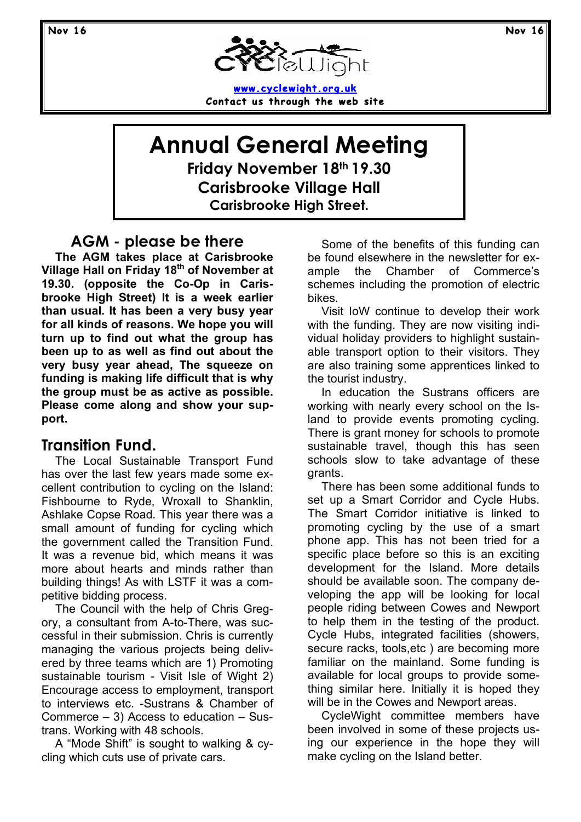

**www.cyclewight.org.uk Contact us through the web site**

**Annual General Meeting Friday November 18th 19.30 Carisbrooke Village Hall Carisbrooke High Street.**

#### **AGM - please be there**

**The AGM takes place at Carisbrooke Village Hall on Friday 18th of November at 19.30. (opposite the Co-Op in Carisbrooke High Street) It is a week earlier than usual. It has been a very busy year for all kinds of reasons. We hope you will turn up to find out what the group has been up to as well as find out about the very busy year ahead, The squeeze on funding is making life difficult that is why the group must be as active as possible. Please come along and show your support.**

#### **Transition Fund.**

The Local Sustainable Transport Fund has over the last few years made some excellent contribution to cycling on the Island: Fishbourne to Ryde, Wroxall to Shanklin, Ashlake Copse Road. This year there was a small amount of funding for cycling which the government called the Transition Fund. It was a revenue bid, which means it was more about hearts and minds rather than building things! As with LSTF it was a competitive bidding process.

The Council with the help of Chris Gregory, a consultant from A-to-There, was successful in their submission. Chris is currently managing the various projects being delivered by three teams which are 1) Promoting sustainable tourism - Visit Isle of Wight 2) Encourage access to employment, transport to interviews etc. -Sustrans & Chamber of Commerce – 3) Access to education – Sustrans. Working with 48 schools.

A "Mode Shift" is sought to walking & cycling which cuts use of private cars.

Some of the benefits of this funding can be found elsewhere in the newsletter for example the Chamber of Commerce's schemes including the promotion of electric bikes.

Visit IoW continue to develop their work with the funding. They are now visiting individual holiday providers to highlight sustainable transport option to their visitors. They are also training some apprentices linked to the tourist industry.

In education the Sustrans officers are working with nearly every school on the Island to provide events promoting cycling. There is grant money for schools to promote sustainable travel, though this has seen schools slow to take advantage of these grants.

There has been some additional funds to set up a Smart Corridor and Cycle Hubs. The Smart Corridor initiative is linked to promoting cycling by the use of a smart phone app. This has not been tried for a specific place before so this is an exciting development for the Island. More details should be available soon. The company developing the app will be looking for local people riding between Cowes and Newport to help them in the testing of the product. Cycle Hubs, integrated facilities (showers, secure racks, tools,etc ) are becoming more familiar on the mainland. Some funding is available for local groups to provide something similar here. Initially it is hoped they will be in the Cowes and Newport areas.

CycleWight committee members have been involved in some of these projects using our experience in the hope they will make cycling on the Island better.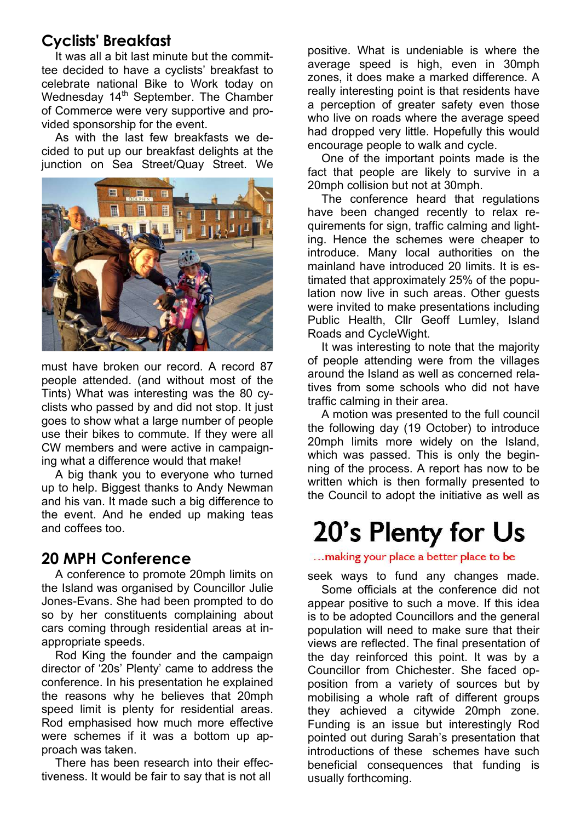## **Cyclists' Breakfast**

It was all a bit last minute but the committee decided to have a cyclists' breakfast to celebrate national Bike to Work today on Wednesday 14<sup>th</sup> September. The Chamber of Commerce were very supportive and provided sponsorship for the event.

As with the last few breakfasts we decided to put up our breakfast delights at the junction on Sea Street/Quay Street. We



must have broken our record. A record 87 people attended. (and without most of the Tints) What was interesting was the 80 cyclists who passed by and did not stop. It just goes to show what a large number of people use their bikes to commute. If they were all CW members and were active in campaigning what a difference would that make!

A big thank you to everyone who turned up to help. Biggest thanks to Andy Newman and his van. It made such a big difference to the event. And he ended up making teas and coffees too.

#### **20 MPH Conference**

A conference to promote 20mph limits on the Island was organised by Councillor Julie Jones-Evans. She had been prompted to do so by her constituents complaining about cars coming through residential areas at inappropriate speeds.

Rod King the founder and the campaign director of '20s' Plenty' came to address the conference. In his presentation he explained the reasons why he believes that 20mph speed limit is plenty for residential areas. Rod emphasised how much more effective were schemes if it was a bottom up approach was taken.

There has been research into their effectiveness. It would be fair to say that is not all

positive. What is undeniable is where the average speed is high, even in 30mph zones, it does make a marked difference. A really interesting point is that residents have a perception of greater safety even those who live on roads where the average speed had dropped very little. Hopefully this would encourage people to walk and cycle.

One of the important points made is the fact that people are likely to survive in a 20mph collision but not at 30mph.

The conference heard that regulations have been changed recently to relax requirements for sign, traffic calming and lighting. Hence the schemes were cheaper to introduce. Many local authorities on the mainland have introduced 20 limits. It is estimated that approximately 25% of the population now live in such areas. Other guests were invited to make presentations including Public Health, Cllr Geoff Lumley, Island Roads and CycleWight.

It was interesting to note that the majority of people attending were from the villages around the Island as well as concerned relatives from some schools who did not have traffic calming in their area.

A motion was presented to the full council the following day (19 October) to introduce 20mph limits more widely on the Island, which was passed. This is only the beginning of the process. A report has now to be written which is then formally presented to the Council to adopt the initiative as well as

# 20's Plenty for Us

... making your place a better place to be

seek ways to fund any changes made.

Some officials at the conference did not appear positive to such a move. If this idea is to be adopted Councillors and the general population will need to make sure that their views are reflected. The final presentation of the day reinforced this point. It was by a Councillor from Chichester. She faced opposition from a variety of sources but by mobilising a whole raft of different groups they achieved a citywide 20mph zone. Funding is an issue but interestingly Rod pointed out during Sarah's presentation that introductions of these schemes have such beneficial consequences that funding is usually forthcoming.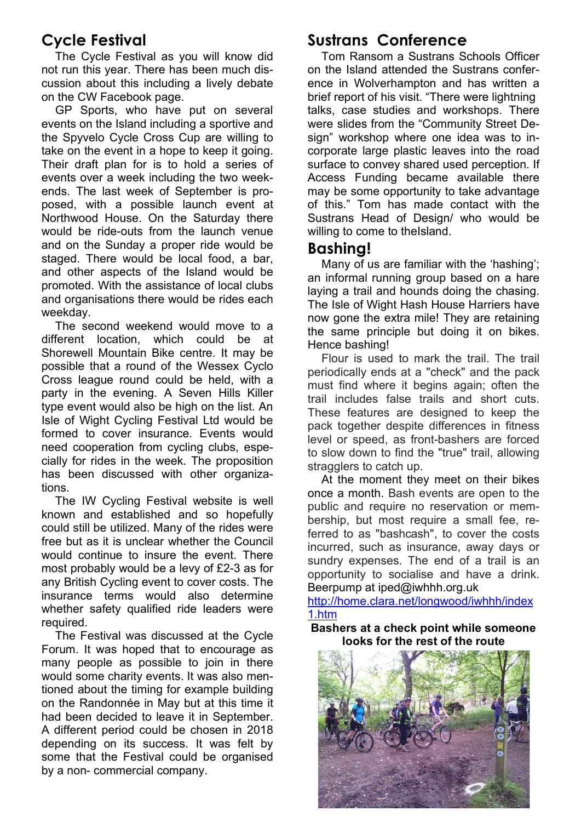## **Cycle Festival**

The Cycle Festival as you will know did not run this year. There has been much discussion about this including a lively debate on the CW Facebook page.

GP Sports, who have put on several events on the Island including a sportive and the Spyvelo Cycle Cross Cup are willing to take on the event in a hope to keep it going. Their draft plan for is to hold a series of events over a week including the two weekends. The last week of September is proposed, with a possible launch event at Northwood House. On the Saturday there would be ride-outs from the launch venue and on the Sunday a proper ride would be staged. There would be local food, a bar, and other aspects of the Island would be promoted. With the assistance of local clubs and organisations there would be rides each weekday.

The second weekend would move to a different location, which could be at Shorewell Mountain Bike centre. It may be possible that a round of the Wessex Cyclo Cross league round could be held, with a party in the evening. A Seven Hills Killer type event would also be high on the list. An Isle of Wight Cycling Festival Ltd would be formed to cover insurance. Events would need cooperation from cycling clubs, especially for rides in the week. The proposition has been discussed with other organizations.

The IW Cycling Festival website is well known and established and so hopefully could still be utilized. Many of the rides were free but as it is unclear whether the Council would continue to insure the event. There most probably would be a levy of £2-3 as for any British Cycling event to cover costs. The insurance terms would also determine whether safety qualified ride leaders were required.

The Festival was discussed at the Cycle Forum. It was hoped that to encourage as many people as possible to join in there would some charity events. It was also mentioned about the timing for example building on the Randonnée in May but at this time it had been decided to leave it in September. A different period could be chosen in 2018 depending on its success. It was felt by some that the Festival could be organised by a non- commercial company.

### **Sustrans Conference**

Tom Ransom a Sustrans Schools Officer on the Island attended the Sustrans conference in Wolverhampton and has written a brief report of his visit. "There were lightning talks, case studies and workshops. There were slides from the "Community Street Design" workshop where one idea was to incorporate large plastic leaves into the road surface to convey shared used perception. If Access Funding became available there may be some opportunity to take advantage of this." Tom has made contact with the Sustrans Head of Design/ who would be willing to come to theIsland.

#### **Bashing!**

Many of us are familiar with the 'hashing'; an informal running group based on a hare laying a trail and hounds doing the chasing. The Isle of Wight Hash House Harriers have now gone the extra mile! They are retaining the same principle but doing it on bikes. Hence bashing!

Flour is used to mark the trail. The trail periodically ends at a "check" and the pack must find where it begins again; often the trail includes false trails and short cuts. These features are designed to keep the pack together despite differences in fitness level or speed, as front-bashers are forced to slow down to find the "true" trail, allowing stragglers to catch up.

At the moment they meet on their bikes once a month. Bash events are open to the public and require no reservation or membership, but most require a small fee, referred to as "bashcash", to cover the costs incurred, such as insurance, away days or sundry expenses. The end of a trail is an opportunity to socialise and have a drink. Beerpump at iped@iwhhh.org.uk

http://home.clara.net/longwood/iwhhh/index 1.htm

**Bashers at a check point while someone looks for the rest of the route**